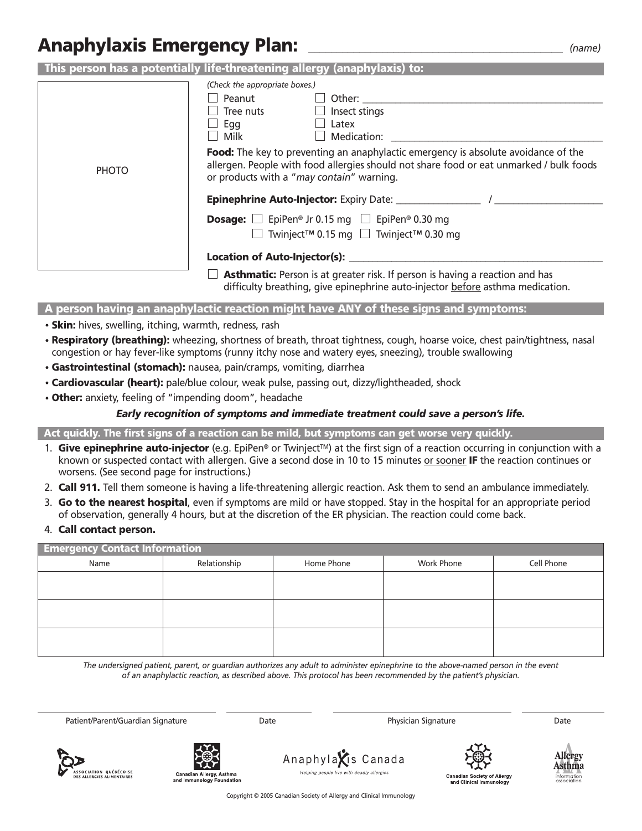# **Anaphylaxis Emergency Plan:** *\_\_\_\_\_\_\_\_\_\_\_\_\_\_\_\_\_\_\_\_\_\_\_\_\_\_\_\_\_\_\_\_\_\_\_\_\_\_\_\_\_\_\_\_\_ (name)*

| This person has a potentially life-threatening allergy (anaphylaxis) to: |                                                                                                                                                                                                                                                                                                                                                                                   |  |  |  |  |
|--------------------------------------------------------------------------|-----------------------------------------------------------------------------------------------------------------------------------------------------------------------------------------------------------------------------------------------------------------------------------------------------------------------------------------------------------------------------------|--|--|--|--|
| <b>PHOTO</b>                                                             | (Check the appropriate boxes.)<br>Peanut<br>$\Box$ Other:<br>Tree nuts<br>$\Box$ Insect stings<br>Egg<br>Latex<br>Milk<br>$\Box$ Medication:<br><b>Food:</b> The key to preventing an anaphylactic emergency is absolute avoidance of the<br>allergen. People with food allergies should not share food or eat unmarked / bulk foods<br>or products with a "may contain" warning. |  |  |  |  |
|                                                                          |                                                                                                                                                                                                                                                                                                                                                                                   |  |  |  |  |
|                                                                          | <b>Dosage:</b> $\Box$ EpiPen® Jr 0.15 mg $\Box$ EpiPen® 0.30 mg<br>■ Twinject <sup>™</sup> 0.15 mg ■ Twinject <sup>™</sup> 0.30 mg                                                                                                                                                                                                                                                |  |  |  |  |
|                                                                          | <b>Asthmatic:</b> Person is at greater risk. If person is having a reaction and has                                                                                                                                                                                                                                                                                               |  |  |  |  |

**Asthmatic:** Person is at greater risk. If person is having a reaction and has difficulty breathing, give epinephrine auto-injector <u>before</u> asthma medication.

**A person having an anaphylactic reaction might have ANY of these signs and symptoms:**

- **Skin:** hives, swelling, itching, warmth, redness, rash
- **Respiratory (breathing):** wheezing, shortness of breath, throat tightness, cough, hoarse voice, chest pain/tightness, nasal congestion or hay fever-like symptoms (runny itchy nose and watery eyes, sneezing), trouble swallowing
- **Gastrointestinal (stomach):** nausea, pain/cramps, vomiting, diarrhea
- **Cardiovascular (heart):** pale/blue colour, weak pulse, passing out, dizzy/lightheaded, shock
- **Other:** anxiety, feeling of "impending doom", headache

#### *Early recognition of symptoms and immediate treatment could save a person's life.*

**Act quickly. The first signs of a reaction can be mild, but symptoms can get worse very quickly.** 

- 1. **Give epinephrine auto-injector** (e.g. EpiPen® or TwinjectTM) at the first sign of a reaction occurring in conjunction with a known or suspected contact with allergen. Give a second dose in 10 to 15 minutes or sooner **IF** the reaction continues or worsens. (See second page for instructions.)
- 2. **Call 911.** Tell them someone is having a life-threatening allergic reaction. Ask them to send an ambulance immediately.
- 3. **Go to the nearest hospital**, even if symptoms are mild or have stopped. Stay in the hospital for an appropriate period of observation, generally 4 hours, but at the discretion of the ER physician. The reaction could come back.
- 4. **Call contact person.**

| <b>Emergency Contact Information</b> |              |            |            |            |  |
|--------------------------------------|--------------|------------|------------|------------|--|
| Name                                 | Relationship | Home Phone | Work Phone | Cell Phone |  |
|                                      |              |            |            |            |  |
|                                      |              |            |            |            |  |
|                                      |              |            |            |            |  |
|                                      |              |            |            |            |  |
|                                      |              |            |            |            |  |
|                                      |              |            |            |            |  |

*The undersigned patient, parent, or guardian authorizes any adult to administer epinephrine to the above-named person in the event of an anaphylactic reaction, as described above. This protocol has been recommended by the patient's physician.*

Patient/Parent/Guardian Signature **Date Date Date Physician Signature Date Date** 





Anaphyla**X**is Canada Helping people live with deadly allergies





Copyright © 2005 Canadian Society of Allergy and Clinical Immunology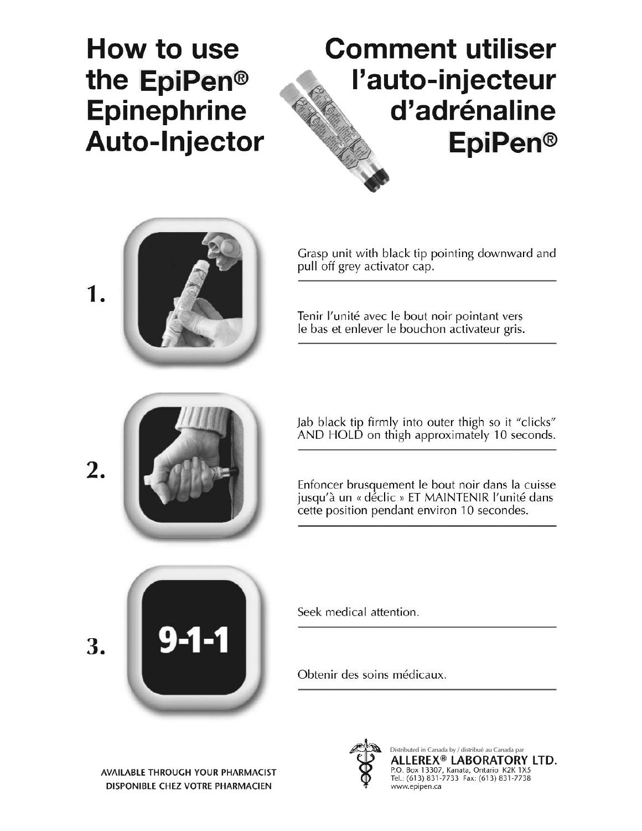# How to use the EpiPen<sup>®</sup> **Epinephrine Auto-Injector**

# **Comment utiliser** l'auto-injecteur d'adrénaline **EpiPen®**





2.

Grasp unit with black tip pointing downward and pull off grey activator cap.

Tenir l'unité avec le bout noir pointant vers le bas et enlever le bouchon activateur gris.

Jab black tip firmly into outer thigh so it "clicks" AND HOLD on thigh approximately 10 seconds.

Enfoncer brusquement le bout noir dans la cuisse jusqu'à un « déclic » ET MAINTENIR l'unité dans cette position pendant environ 10 secondes.



Seek medical attention.

Obtenir des soins médicaux.





Distributed in Canada by / distribué au Canada par<br>**ALLEREX® LABORATORY LTD.**<br>P.O. Box 13307, Kanata, Ontario K2K 1X5<br>Tel.: (613) 831-7733 Fax: (613) 831-7738 www.epipen.ca